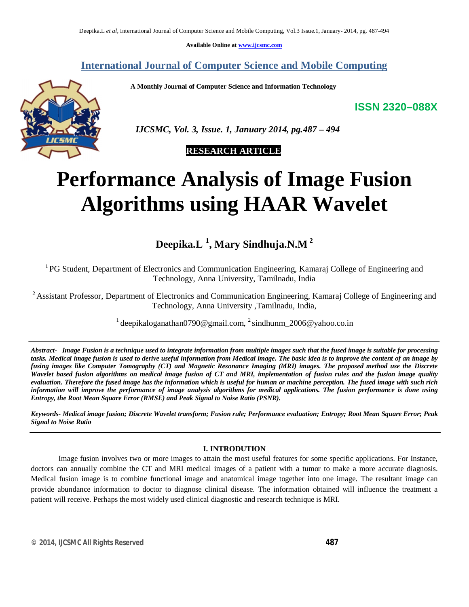**Available Online at www.ijcsmc.com**

# **International Journal of Computer Science and Mobile Computing**

 **A Monthly Journal of Computer Science and Information Technology**

**ISSN 2320–088X**



 *IJCSMC, Vol. 3, Issue. 1, January 2014, pg.487 – 494*

# **RESEARCH ARTICLE**

# **Performance Analysis of Image Fusion Algorithms using HAAR Wavelet**

**Deepika.L <sup>1</sup> , Mary Sindhuja.N.M <sup>2</sup>**

<sup>1</sup>PG Student, Department of Electronics and Communication Engineering, Kamaraj College of Engineering and Technology, Anna University, Tamilnadu, India

<sup>2</sup> Assistant Professor, Department of Electronics and Communication Engineering, Kamaraj College of Engineering and Technology, Anna University ,Tamilnadu, India,

 $1$  deepikaloganathan0790@gmail.com,  $2$  sindhunm\_2006@yahoo.co.in

*Abstract- Image Fusion is a technique used to integrate information from multiple images such that the fused image is suitable for processing*  tasks. Medical *image fusion is used to derive useful information from Medical image. The basic idea is to <i>improve the content of an image by fusing images like Computer Tomography (CT) and Magnetic Resonance Imaging (MRI) images. The proposed method use the Discrete Wavelet based fusion algorithms on medical image fusion of CT and MRI, implementation of fusion rules and the fusion image quality evaluation. Therefore the fused image has the information which is useful for human or machine perception. The fused image with such rich information will improve the performance of image analysis algorithms for medical applications. The fusion performance is done using Entropy, the Root Mean Square Error (RMSE) and Peak Signal to Noise Ratio (PSNR).*

*Keywords- Medical image fusion; Discrete Wavelet transform; Fusion rule; Performance evaluation; Entropy; Root Mean Square Error; Peak Signal to Noise Ratio*

# **I. INTRODUTION**

Image fusion involves two or more images to attain the most useful features for some specific applications. For Instance, doctors can annually combine the CT and MRI medical images of a patient with a tumor to make a more accurate diagnosis. Medical fusion image is to combine functional image and anatomical image together into one image. The resultant image can provide abundance information to doctor to diagnose clinical disease. The information obtained will influence the treatment a patient will receive. Perhaps the most widely used clinical diagnostic and research technique is MRI.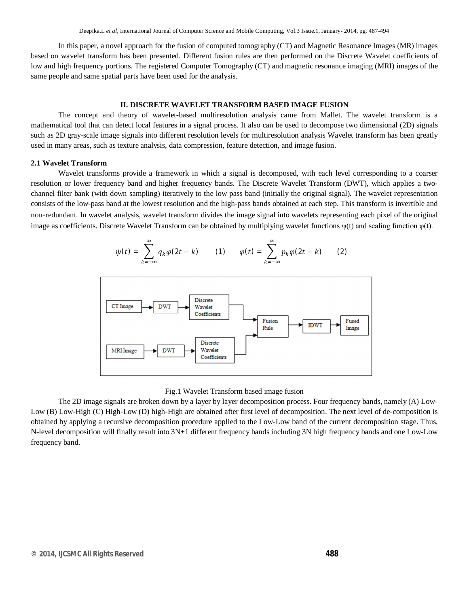In this paper, a novel approach for the fusion of computed tomography (CT) and Magnetic Resonance Images (MR) images based on wavelet transform has been presented. Different fusion rules are then performed on the Discrete Wavelet coefficients of low and high frequency portions. The registered Computer Tomography (CT) and magnetic resonance imaging (MRI) images of the same people and same spatial parts have been used for the analysis.

#### **II. DISCRETE WAVELET TRANSFORM BASED IMAGE FUSION**

The concept and theory of wavelet-based multiresolution analysis came from Mallet. The wavelet transform is a mathematical tool that can detect local features in a signal process. It also can be used to decompose two dimensional (2D) signals such as 2D gray-scale image signals into different resolution levels for multiresolution analysis Wavelet transform has been greatly used in many areas, such as texture analysis, data compression, feature detection, and image fusion.

#### **2.1 Wavelet Transform**

Wavelet transforms provide a framework in which a signal is decomposed, with each level corresponding to a coarser resolution or lower frequency band and higher frequency bands. The Discrete Wavelet Transform (DWT), which applies a twochannel filter bank (with down sampling) iteratively to the low pass band (initially the original signal). The wavelet representation consists of the low-pass band at the lowest resolution and the high-pass bands obtained at each step. This transform is invertible and non-redundant. In wavelet analysis, wavelet transform divides the image signal into wavelets representing each pixel of the original image as coefficients. Discrete Wavelet Transform can be obtained by multiplying wavelet functions  $\psi(t)$  and scaling function  $\varphi(t)$ .

$$
\psi(t) = \sum_{k=-\infty}^{\infty} q_k \varphi(2t - k) \qquad (1) \qquad \varphi(t) = \sum_{k=-\infty}^{\infty} p_k \varphi(2t - k) \qquad (2)
$$



#### Fig.1 Wavelet Transform based image fusion

The 2D image signals are broken down by a layer by layer decomposition process. Four frequency bands, namely (A) Low-Low (B) Low-High (C) High-Low (D) high-High are obtained after first level of decomposition. The next level of de-composition is obtained by applying a recursive decomposition procedure applied to the Low-Low band of the current decomposition stage. Thus, N-level decomposition will finally result into 3N+1 different frequency bands including 3N high frequency bands and one Low-Low frequency band.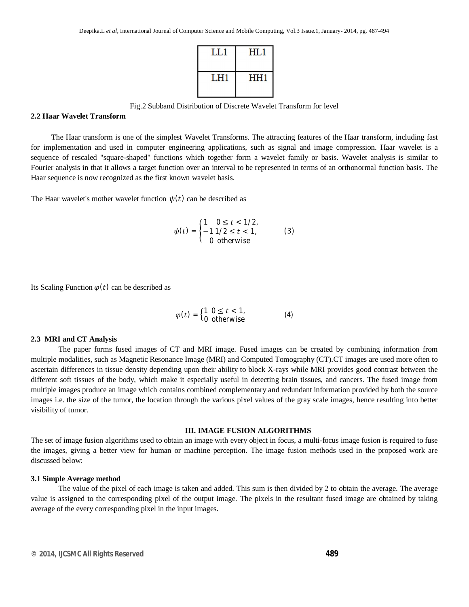

Fig.2 Subband Distribution of Discrete Wavelet Transform for level

## **2.2 Haar Wavelet Transform**

 The Haar transform is one of the simplest Wavelet Transforms. The attracting features of the Haar transform, including fast for implementation and used in computer engineering applications, such as signal and image compression. Haar wavelet is a sequence of rescaled "square-shaped" functions which together form a wavelet family or basis. Wavelet analysis is similar to Fourier analysis in that it allows a target function over an interval to be represented in terms of an orthonormal function basis. The Haar sequence is now recognized as the first known wavelet basis.

The Haar wavelet's mother wavelet function  $\psi(t)$  can be described as

$$
\psi(t) = \begin{cases} 1 & 0 \le t < 1/2, \\ -1 & 1/2 \le t < 1, \\ 0 & \text{otherwise} \end{cases}
$$
 (3)

Its Scaling Function  $\varphi(t)$  can be described as

$$
\varphi(t) = \begin{cases} 1 & 0 \le t < 1, \\ 0 & \text{otherwise} \end{cases} \tag{4}
$$

#### **2.3 MRI and CT Analysis**

The paper forms fused images of CT and MRI image. Fused images can be created by combining information from multiple modalities, such as Magnetic Resonance Image (MRI) and Computed Tomography (CT).CT images are used more often to ascertain differences in tissue density depending upon their ability to block X-rays while MRI provides good contrast between the different soft tissues of the body, which make it especially useful in detecting brain tissues, and cancers. The fused image from multiple images produce an image which contains combined complementary and redundant information provided by both the source images i.e. the size of the tumor, the location through the various pixel values of the gray scale images, hence resulting into better visibility of tumor.

#### **III. IMAGE FUSION ALGORITHMS**

The set of image fusion algorithms used to obtain an image with every object in focus, a multi-focus image fusion is required to fuse the images, giving a better view for human or machine perception. The image fusion methods used in the proposed work are discussed below:

#### **3.1 Simple Average method**

The value of the pixel of each image is taken and added. This sum is then divided by 2 to obtain the average. The average value is assigned to the corresponding pixel of the output image. The pixels in the resultant fused image are obtained by taking average of the every corresponding pixel in the input images.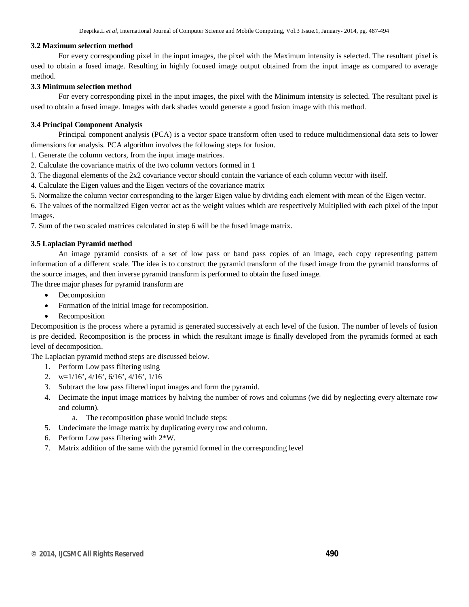#### **3.2 Maximum selection method**

For every corresponding pixel in the input images, the pixel with the Maximum intensity is selected. The resultant pixel is used to obtain a fused image. Resulting in highly focused image output obtained from the input image as compared to average method.

#### **3.3 Minimum selection method**

For every corresponding pixel in the input images, the pixel with the Minimum intensity is selected. The resultant pixel is used to obtain a fused image. Images with dark shades would generate a good fusion image with this method.

#### **3.4 Principal Component Analysis**

Principal component analysis (PCA) is a vector space transform often used to reduce multidimensional data sets to lower dimensions for analysis. PCA algorithm involves the following steps for fusion.

1. Generate the column vectors, from the input image matrices.

- 2. Calculate the covariance matrix of the two column vectors formed in 1
- 3. The diagonal elements of the 2x2 covariance vector should contain the variance of each column vector with itself.

4. Calculate the Eigen values and the Eigen vectors of the covariance matrix

5. Normalize the column vector corresponding to the larger Eigen value by dividing each element with mean of the Eigen vector.

6. The values of the normalized Eigen vector act as the weight values which are respectively Multiplied with each pixel of the input images.

7. Sum of the two scaled matrices calculated in step 6 will be the fused image matrix.

#### **3.5 Laplacian Pyramid method**

An image pyramid consists of a set of low pass or band pass copies of an image, each copy representing pattern information of a different scale. The idea is to construct the pyramid transform of the fused image from the pyramid transforms of the source images, and then inverse pyramid transform is performed to obtain the fused image.

The three major phases for pyramid transform are

- Decomposition
- Formation of the initial image for recomposition.
- Recomposition

Decomposition is the process where a pyramid is generated successively at each level of the fusion. The number of levels of fusion is pre decided. Recomposition is the process in which the resultant image is finally developed from the pyramids formed at each level of decomposition.

The Laplacian pyramid method steps are discussed below.

- 1. Perform Low pass filtering using
- 2. w=1/16', 4/16', 6/16', 4/16', 1/16
- 3. Subtract the low pass filtered input images and form the pyramid.
- 4. Decimate the input image matrices by halving the number of rows and columns (we did by neglecting every alternate row and column).
	- a. The recomposition phase would include steps:
- 5. Undecimate the image matrix by duplicating every row and column.
- 6. Perform Low pass filtering with 2\*W.
- 7. Matrix addition of the same with the pyramid formed in the corresponding level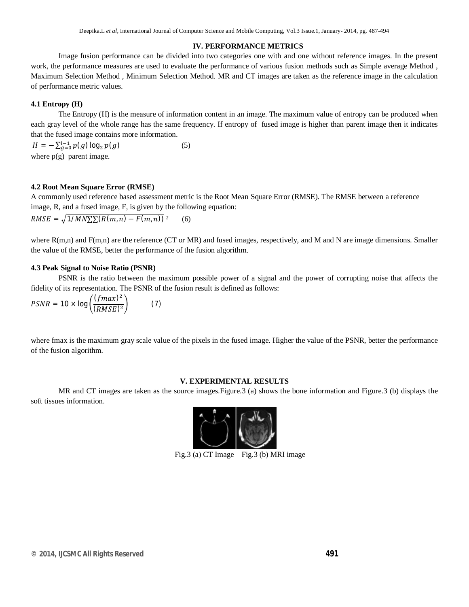#### **IV. PERFORMANCE METRICS**

Image fusion performance can be divided into two categories one with and one without reference images. In the present work, the performance measures are used to evaluate the performance of various fusion methods such as Simple average Method , Maximum Selection Method , Minimum Selection Method. MR and CT images are taken as the reference image in the calculation of performance metric values.

## **4.1 Entropy (H)**

The Entropy (H) is the measure of information content in an image. The maximum value of entropy can be produced when each gray level of the whole range has the same frequency. If entropy of fused image is higher than parent image then it indicates that the fused image contains more information.

 $H = -\sum_{g=0}^{l-1} p(g) \log_2 p(g)$  (5) where  $p(g)$  parent image.

#### **4.2 Root Mean Square Error (RMSE)**

A commonly used reference based assessment metric is the Root Mean Square Error (RMSE). The RMSE between a reference image, R, and a fused image, F, is given by the following equation:

$$
RMSE = \sqrt{1/MN\sum R(m,n) - F(m,n)})^2 \qquad (6)
$$

where R(m,n) and F(m,n) are the reference (CT or MR) and fused images, respectively, and M and N are image dimensions. Smaller the value of the RMSE, better the performance of the fusion algorithm.

#### **4.3 Peak Signal to Noise Ratio (PSNR)**

PSNR is the ratio between the maximum possible power of a signal and the power of corrupting noise that affects the fidelity of its representation. The PSNR of the fusion result is defined as follows:

$$
PSNR = 10 \times \log\left(\frac{(fmax)^2}{(RMSE)^2}\right) \tag{7}
$$

where fmax is the maximum gray scale value of the pixels in the fused image. Higher the value of the PSNR, better the performance of the fusion algorithm.

#### **V. EXPERIMENTAL RESULTS**

MR and CT images are taken as the source images.Figure.3 (a) shows the bone information and Figure.3 (b) displays the soft tissues information.



Fig.3 (a) CT Image Fig.3 (b) MRI image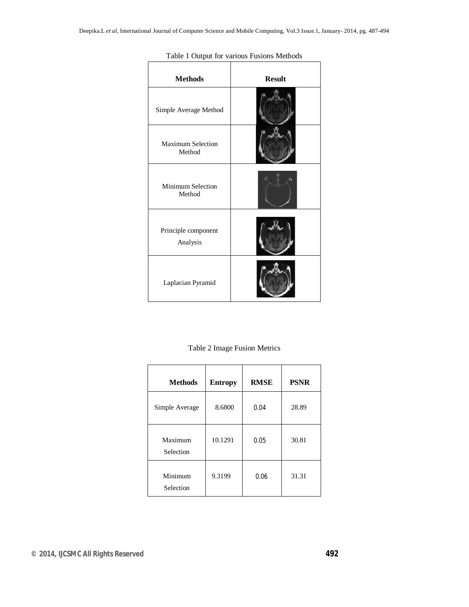| <b>Methods</b>                     | <b>Result</b> |  |  |
|------------------------------------|---------------|--|--|
| Simple Average Method              |               |  |  |
| <b>Maximum Selection</b><br>Method |               |  |  |
| <b>Minimum Selection</b><br>Method |               |  |  |
| Principle component<br>Analysis    |               |  |  |
| Laplacian Pyramid                  |               |  |  |

Table 1 Output for various Fusions Methods

Table 2 Image Fusion Metrics

| <b>Methods</b>       | <b>Entropy</b> | <b>RMSE</b> | <b>PSNR</b> |
|----------------------|----------------|-------------|-------------|
| Simple Average       | 8.6800         | 0.04        | 28.89       |
| Maximum<br>Selection | 10.1291        | 0.05        | 30.81       |
| Minimum<br>Selection | 9.3199         | 0.06        | 31.31       |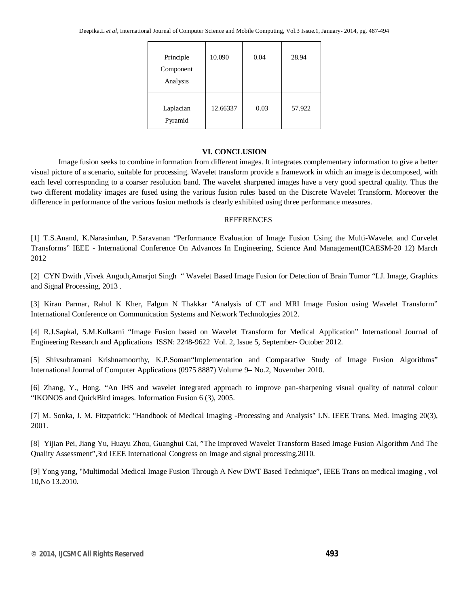| Principle<br>Component<br>Analysis | 10.090   | 0.04 | 28.94  |
|------------------------------------|----------|------|--------|
| Laplacian<br>Pyramid               | 12.66337 | 0.03 | 57.922 |

# **VI. CONCLUSION**

Image fusion seeks to combine information from different images. It integrates complementary information to give a better visual picture of a scenario, suitable for processing. Wavelet transform provide a framework in which an image is decomposed, with each level corresponding to a coarser resolution band. The wavelet sharpened images have a very good spectral quality. Thus the two different modality images are fused using the various fusion rules based on the Discrete Wavelet Transform. Moreover the difference in performance of the various fusion methods is clearly exhibited using three performance measures.

## REFERENCES

[1] T.S.Anand, K.Narasimhan, P.Saravanan "Performance Evaluation of Image Fusion Using the Multi-Wavelet and Curvelet Transforms" IEEE - International Conference On Advances In Engineering, Science And Management(ICAESM-20 12) March 2012

[2] CYN Dwith ,Vivek Angoth,Amarjot Singh " Wavelet Based Image Fusion for Detection of Brain Tumor "I.J. Image, Graphics and Signal Processing, 2013 .

[3] Kiran Parmar, Rahul K Kher, Falgun N Thakkar "Analysis of CT and MRI Image Fusion using Wavelet Transform" International Conference on Communication Systems and Network Technologies 2012.

[4] R.J.Sapkal, S.M.Kulkarni "Image Fusion based on Wavelet Transform for Medical Application" International Journal of Engineering Research and Applications ISSN: 2248-9622 Vol. 2, Issue 5, September- October 2012.

[5] Shivsubramani Krishnamoorthy, K.P.Soman"Implementation and Comparative Study of Image Fusion Algorithms" International Journal of Computer Applications (0975 8887) Volume 9– No.2, November 2010.

[6] Zhang, Y., Hong, "An IHS and wavelet integrated approach to improve pan-sharpening visual quality of natural colour "IKONOS and QuickBird images. Information Fusion 6 (3), 2005.

[7] M. Sonka, J. M. Fitzpatrick: "Handbook of Medical Imaging -Processing and Analysis" I.N. IEEE Trans. Med. Imaging 20(3), 2001.

[8] Yijian Pei, Jiang Yu, Huayu Zhou, Guanghui Cai, "The Improved Wavelet Transform Based Image Fusion Algorithm And The Quality Assessment",3rd IEEE International Congress on Image and signal processing,2010.

[9] Yong yang, "Multimodal Medical Image Fusion Through A New DWT Based Technique", IEEE Trans on medical imaging , vol 10,No 13.2010.